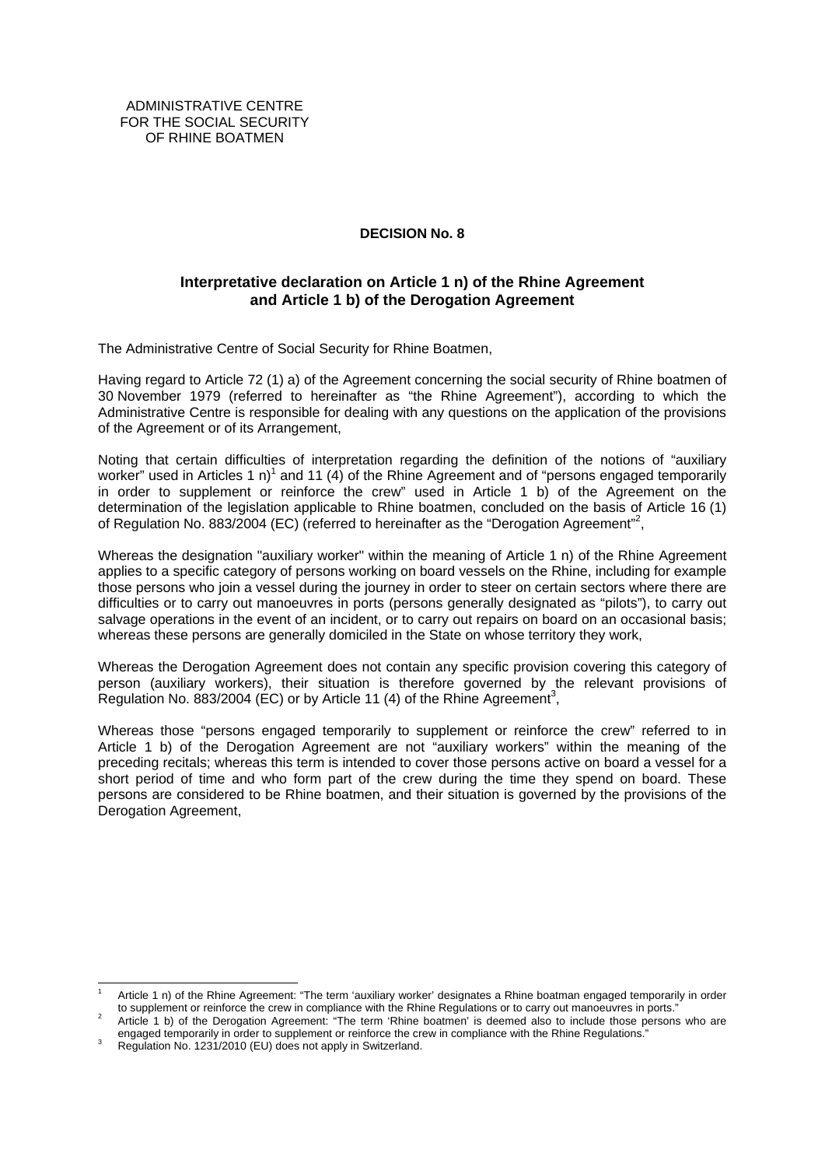ADMINISTRATIVE CENTRE FOR THE SOCIAL SECURITY OF RHINE BOATMEN

## **DECISION No. 8**

## **Interpretative declaration on Article 1 n) of the Rhine Agreement and Article 1 b) of the Derogation Agreement**

The Administrative Centre of Social Security for Rhine Boatmen,

Having regard to Article 72 (1) a) of the Agreement concerning the social security of Rhine boatmen of 30 November 1979 (referred to hereinafter as "the Rhine Agreement"), according to which the Administrative Centre is responsible for dealing with any questions on the application of the provisions of the Agreement or of its Arrangement,

Noting that certain difficulties of interpretation regarding the definition of the notions of "auxiliary worker" used in Articles 1 n)<sup>1</sup> and 11 (4) of the Rhine Agreement and of "persons engaged temporarily in order to supplement or reinforce the crew" used in Article 1 b) of the Agreement on the determination of the legislation applicable to Rhine boatmen, concluded on the basis of Article 16 (1) of Regulation No. 883/2004 (EC) (referred to hereinafter as the "Derogation Agreement"<sup>2</sup>,

Whereas the designation "auxiliary worker" within the meaning of Article 1 n) of the Rhine Agreement applies to a specific category of persons working on board vessels on the Rhine, including for example those persons who join a vessel during the journey in order to steer on certain sectors where there are difficulties or to carry out manoeuvres in ports (persons generally designated as "pilots"), to carry out salvage operations in the event of an incident, or to carry out repairs on board on an occasional basis; whereas these persons are generally domiciled in the State on whose territory they work,

Whereas the Derogation Agreement does not contain any specific provision covering this category of person (auxiliary workers), their situation is therefore governed by the relevant provisions of Regulation No. 883/2004 (EC) or by Article 11 (4) of the Rhine Agreement<sup>3</sup>,

Whereas those "persons engaged temporarily to supplement or reinforce the crew" referred to in Article 1 b) of the Derogation Agreement are not "auxiliary workers" within the meaning of the preceding recitals; whereas this term is intended to cover those persons active on board a vessel for a short period of time and who form part of the crew during the time they spend on board. These persons are considered to be Rhine boatmen, and their situation is governed by the provisions of the Derogation Agreement,

1

<sup>1</sup> Article 1 n) of the Rhine Agreement: "The term 'auxiliary worker' designates a Rhine boatman engaged temporarily in order to supplement or reinforce the crew in compliance with the Rhine Regulations or to carry out manoeuvres in ports."

Article 1 b) of the Derogation Agreement: "The term 'Rhine boatmen' is deemed also to include those persons who are engaged temporarily in order to supplement or reinforce the crew in compliance with the Rhine Regulations.'

Regulation No. 1231/2010 (EU) does not apply in Switzerland.